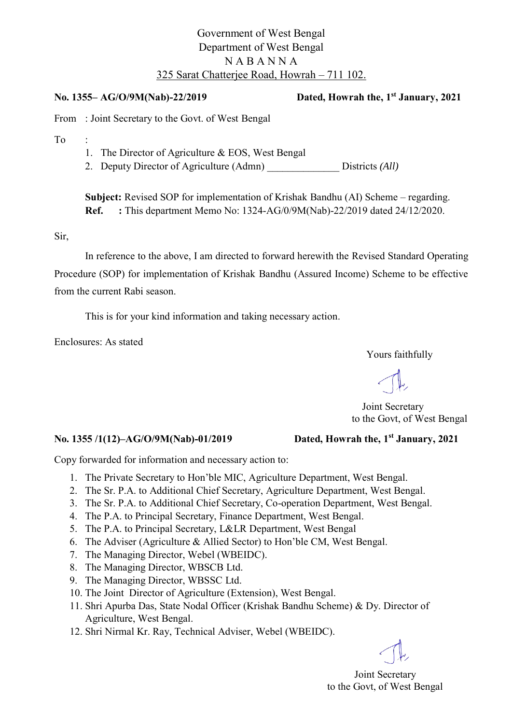# Government of West Bengal Department of West Bengal N A B A N N A 325 Sarat Chatterjee Road, Howrah – 711 102.

**No. 1355– AG/O/9M(Nab)-22/2019 Dated, Howrah the, 1st January, 2021** 

From : Joint Secretary to the Govt. of West Bengal

To :

- 1. The Director of Agriculture & EOS, West Bengal
- 2. Deputy Director of Agriculture (Admn) Districts *(All)*

**Subject:** Revised SOP for implementation of Krishak Bandhu (AI) Scheme – regarding. **Ref. :** This department Memo No: 1324-AG/0/9M(Nab)-22/2019 dated 24/12/2020.

Sir,

In reference to the above, I am directed to forward herewith the Revised Standard Operating Procedure (SOP) for implementation of Krishak Bandhu (Assured Income) Scheme to be effective from the current Rabi season.

This is for your kind information and taking necessary action.

Enclosures: As stated

Yours faithfully

 Joint Secretary to the Govt, of West Bengal

## **No. 1355 /1(12)–AG/O/9M(Nab)-01/2019 Dated, Howrah the, 1st January, 2021**

Copy forwarded for information and necessary action to:

- 1. The Private Secretary to Hon'ble MIC, Agriculture Department, West Bengal.
- 2. The Sr. P.A. to Additional Chief Secretary, Agriculture Department, West Bengal.
- 3. The Sr. P.A. to Additional Chief Secretary, Co-operation Department, West Bengal.
- 4. The P.A. to Principal Secretary, Finance Department, West Bengal.
- 5. The P.A. to Principal Secretary, L&LR Department, West Bengal
- 6. The Adviser (Agriculture & Allied Sector) to Hon'ble CM, West Bengal.
- 7. The Managing Director, Webel (WBEIDC).
- 8. The Managing Director, WBSCB Ltd.
- 9. The Managing Director, WBSSC Ltd.
- 10. The Joint Director of Agriculture (Extension), West Bengal.
- 11. Shri Apurba Das, State Nodal Officer (Krishak Bandhu Scheme) & Dy. Director of Agriculture, West Bengal.
- 12. Shri Nirmal Kr. Ray, Technical Adviser, Webel (WBEIDC).

Joint Secretary to the Govt, of West Bengal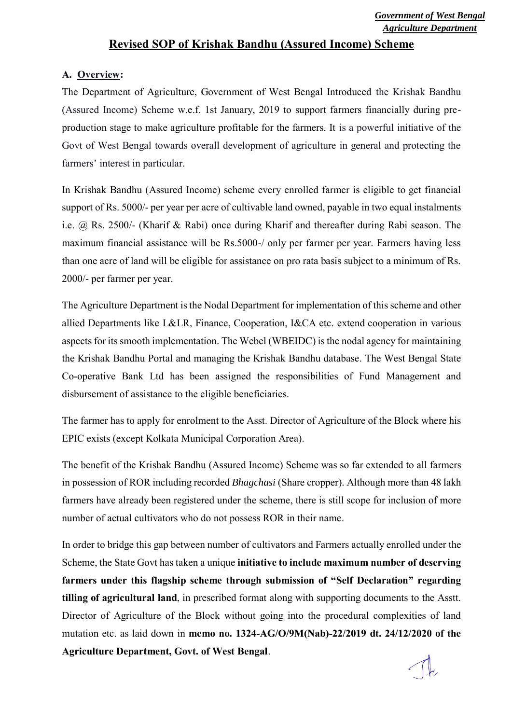## **Revised SOP of Krishak Bandhu (Assured Income) Scheme**

## **A. Overview:**

The Department of Agriculture, Government of West Bengal Introduced the Krishak Bandhu (Assured Income) Scheme w.e.f. 1st January, 2019 to support farmers financially during preproduction stage to make agriculture profitable for the farmers. It is a powerful initiative of the Govt of West Bengal towards overall development of agriculture in general and protecting the farmers' interest in particular.

In Krishak Bandhu (Assured Income) scheme every enrolled farmer is eligible to get financial support of Rs. 5000/- per year per acre of cultivable land owned, payable in two equal instalments i.e. @ Rs. 2500/- (Kharif & Rabi) once during Kharif and thereafter during Rabi season. The maximum financial assistance will be Rs.5000-/ only per farmer per year. Farmers having less than one acre of land will be eligible for assistance on pro rata basis subject to a minimum of Rs. 2000/- per farmer per year.

The Agriculture Department is the Nodal Department for implementation of this scheme and other allied Departments like L&LR, Finance, Cooperation, I&CA etc. extend cooperation in various aspects for its smooth implementation. The Webel (WBEIDC) is the nodal agency for maintaining the Krishak Bandhu Portal and managing the Krishak Bandhu database. The West Bengal State Co-operative Bank Ltd has been assigned the responsibilities of Fund Management and disbursement of assistance to the eligible beneficiaries.

The farmer has to apply for enrolment to the Asst. Director of Agriculture of the Block where his EPIC exists (except Kolkata Municipal Corporation Area).

The benefit of the Krishak Bandhu (Assured Income) Scheme was so far extended to all farmers in possession of ROR including recorded *Bhagchasi* (Share cropper). Although more than 48 lakh farmers have already been registered under the scheme, there is still scope for inclusion of more number of actual cultivators who do not possess ROR in their name.

In order to bridge this gap between number of cultivators and Farmers actually enrolled under the Scheme, the State Govt has taken a unique **initiative to include maximum number of deserving farmers under this flagship scheme through submission of "Self Declaration" regarding tilling of agricultural land**, in prescribed format along with supporting documents to the Asstt. Director of Agriculture of the Block without going into the procedural complexities of land mutation etc. as laid down in **memo no. 1324-AG/O/9M(Nab)-22/2019 dt. 24/12/2020 of the Agriculture Department, Govt. of West Bengal**.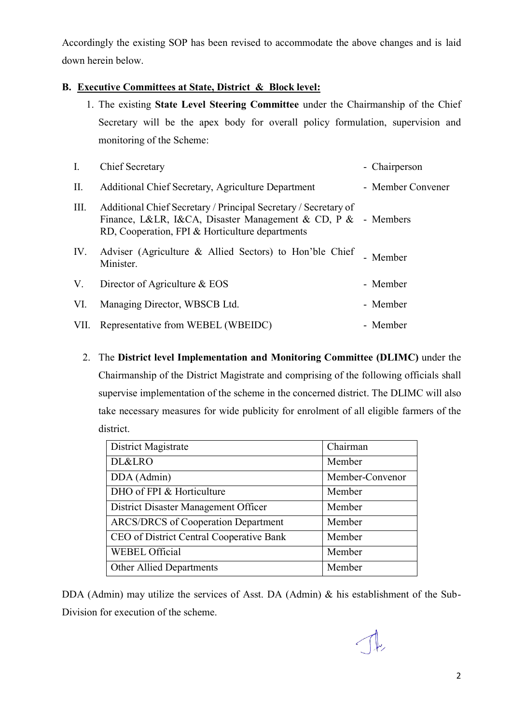Accordingly the existing SOP has been revised to accommodate the above changes and is laid down herein below.

## **B. Executive Committees at State, District & Block level:**

1. The existing **State Level Steering Committee** under the Chairmanship of the Chief Secretary will be the apex body for overall policy formulation, supervision and monitoring of the Scheme:

| Ι.   | <b>Chief Secretary</b>                                                                                                                                                             | - Chairperson     |
|------|------------------------------------------------------------------------------------------------------------------------------------------------------------------------------------|-------------------|
| II.  | Additional Chief Secretary, Agriculture Department                                                                                                                                 | - Member Convener |
| III. | Additional Chief Secretary / Principal Secretary / Secretary of<br>Finance, L&LR, I&CA, Disaster Management & CD, P & - Members<br>RD, Cooperation, FPI & Horticulture departments |                   |
| IV.  | Adviser (Agriculture & Allied Sectors) to Hon'ble Chief<br>Minister.                                                                                                               | - Member          |
| V.   | Director of Agriculture & EOS                                                                                                                                                      | - Member          |
| VI.  | Managing Director, WBSCB Ltd.                                                                                                                                                      | - Member          |
| VII. | Representative from WEBEL (WBEIDC)                                                                                                                                                 | - Member          |

2. The **District level Implementation and Monitoring Committee (DLIMC)** under the Chairmanship of the District Magistrate and comprising of the following officials shall supervise implementation of the scheme in the concerned district. The DLIMC will also take necessary measures for wide publicity for enrolment of all eligible farmers of the district.

| District Magistrate                        | Chairman        |
|--------------------------------------------|-----------------|
| DL&LRO                                     | Member          |
| DDA (Admin)                                | Member-Convenor |
| DHO of FPI & Horticulture                  | Member          |
| District Disaster Management Officer       | Member          |
| <b>ARCS/DRCS</b> of Cooperation Department | Member          |
| CEO of District Central Cooperative Bank   | Member          |
| <b>WEBEL Official</b>                      | Member          |
| <b>Other Allied Departments</b>            | Member          |

DDA (Admin) may utilize the services of Asst. DA (Admin) & his establishment of the Sub-Division for execution of the scheme.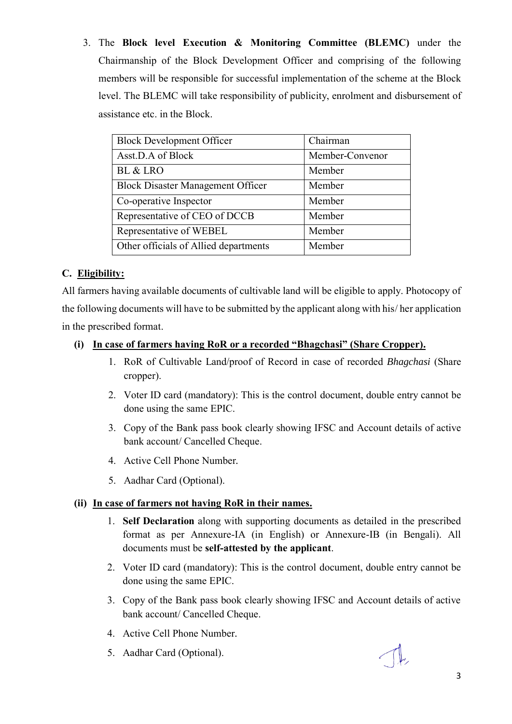3. The **Block level Execution & Monitoring Committee (BLEMC)** under the Chairmanship of the Block Development Officer and comprising of the following members will be responsible for successful implementation of the scheme at the Block level. The BLEMC will take responsibility of publicity, enrolment and disbursement of assistance etc. in the Block.

| <b>Block Development Officer</b>         | Chairman        |
|------------------------------------------|-----------------|
| Asst.D.A of Block                        | Member-Convenor |
| BL & LRO                                 | Member          |
| <b>Block Disaster Management Officer</b> | Member          |
| Co-operative Inspector                   | Member          |
| Representative of CEO of DCCB            | Member          |
| Representative of WEBEL                  | Member          |
| Other officials of Allied departments    | Member          |

## **C. Eligibility:**

All farmers having available documents of cultivable land will be eligible to apply. Photocopy of the following documents will have to be submitted by the applicant along with his/ her application in the prescribed format.

## **(i) In case of farmers having RoR or a recorded "Bhagchasi" (Share Cropper).**

- 1. RoR of Cultivable Land/proof of Record in case of recorded *Bhagchasi* (Share cropper).
- 2. Voter ID card (mandatory): This is the control document, double entry cannot be done using the same EPIC.
- 3. Copy of the Bank pass book clearly showing IFSC and Account details of active bank account/ Cancelled Cheque.
- 4. Active Cell Phone Number*.*
- 5. Aadhar Card (Optional).

## **(ii) In case of farmers not having RoR in their names.**

- 1. **Self Declaration** along with supporting documents as detailed in the prescribed format as per Annexure-IA (in English) or Annexure-IB (in Bengali). All documents must be **self-attested by the applicant**.
- 2. Voter ID card (mandatory): This is the control document, double entry cannot be done using the same EPIC.
- 3. Copy of the Bank pass book clearly showing IFSC and Account details of active bank account/ Cancelled Cheque.
- 4. Active Cell Phone Number*.*
- 5. Aadhar Card (Optional).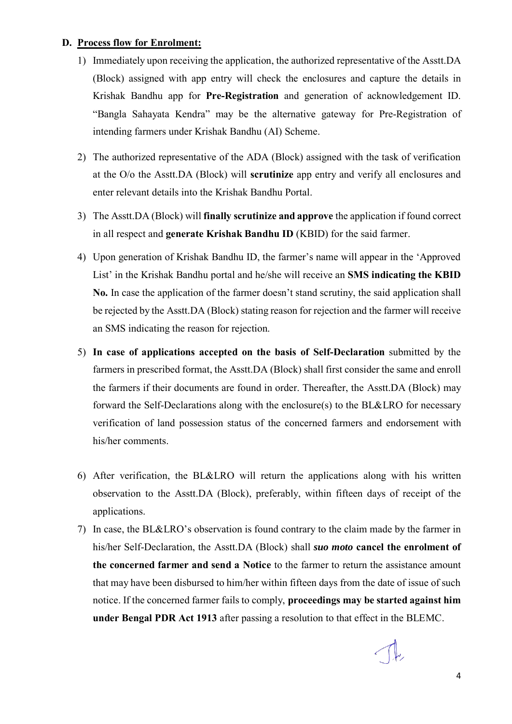#### **D. Process flow for Enrolment:**

- 1) Immediately upon receiving the application, the authorized representative of the Asstt.DA (Block) assigned with app entry will check the enclosures and capture the details in Krishak Bandhu app for **Pre-Registration** and generation of acknowledgement ID. "Bangla Sahayata Kendra" may be the alternative gateway for Pre-Registration of intending farmers under Krishak Bandhu (AI) Scheme.
- 2) The authorized representative of the ADA (Block) assigned with the task of verification at the O/o the Asstt.DA (Block) will **scrutinize** app entry and verify all enclosures and enter relevant details into the Krishak Bandhu Portal.
- 3) The Asstt.DA (Block) will **finally scrutinize and approve** the application if found correct in all respect and **generate Krishak Bandhu ID** (KBID) for the said farmer.
- 4) Upon generation of Krishak Bandhu ID, the farmer's name will appear in the 'Approved List' in the Krishak Bandhu portal and he/she will receive an **SMS indicating the KBID No.** In case the application of the farmer doesn't stand scrutiny, the said application shall be rejected by the Asstt.DA (Block) stating reason for rejection and the farmer will receive an SMS indicating the reason for rejection.
- 5) **In case of applications accepted on the basis of Self-Declaration** submitted by the farmers in prescribed format, the Asstt.DA (Block) shall first consider the same and enroll the farmers if their documents are found in order. Thereafter, the Asstt.DA (Block) may forward the Self-Declarations along with the enclosure(s) to the BL&LRO for necessary verification of land possession status of the concerned farmers and endorsement with his/her comments.
- 6) After verification, the BL&LRO will return the applications along with his written observation to the Asstt.DA (Block), preferably, within fifteen days of receipt of the applications.
- 7) In case, the BL&LRO's observation is found contrary to the claim made by the farmer in his/her Self-Declaration, the Asstt.DA (Block) shall *suo moto* **cancel the enrolment of the concerned farmer and send a Notice** to the farmer to return the assistance amount that may have been disbursed to him/her within fifteen days from the date of issue of such notice. If the concerned farmer fails to comply, **proceedings may be started against him under Bengal PDR Act 1913** after passing a resolution to that effect in the BLEMC.

 $\sqrt{k}$